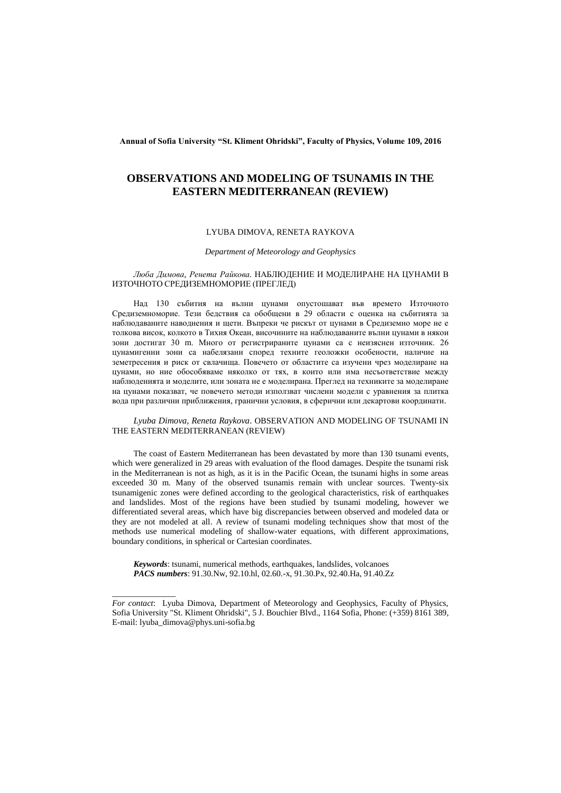**Annual of Sofia University "St. Kliment Ohridski", Faculty of Physics, Volume 109, 2016**

# **OBSERVATIONS AND MODELING OF TSUNAMIS IN THE EASTERN MEDITERRANEAN (REVIEW)**

### LYUBA DIMOVA, RENETA RAYKOVA

### *Department of Meteorology and Geophysics*

### *Люба Димова, Ренета Райкова.* НАБЛЮДЕНИЕ И МОДЕЛИРАНЕ НА ЦУНАМИ В ИЗТОЧНОТО СРЕДИЗЕМНОМОРИЕ (ПРЕГЛЕД)

Над 130 събития на вълни цунами опустошават във времето Източното Средиземноморие. Тези бедствия са обобщени в 29 области с оценка на събитията за наблюдаваните наводнения и щети. Въпреки че рискът от цунами в Средиземно море не е толкова висок, колкото в Тихия Океан, височините на наблюдаваните вълни цунами в някои зони достигат 30 m. Много от регистрираните цунами са с неизяснен източник. 26 цунамигенни зони са набелязани според техните геоложки особености, наличие на земетресения и риск от свлачища. Повечето от областите са изучени чрез моделиране на цунами, но ние обособяваме няколко от тях, в които или има несъответствие между наблюденията и моделите, или зоната не е моделирана. Преглед на техниките за моделиране на цунами показват, че повечето методи използват числени модели с уравнения за плитка вода при различни приближения, гранични условия, в сферични или декартови координати.

### *Lyuba Dimova, Reneta Raykova.* OBSERVATION AND MODELING OF TSUNAMI IN THE EASTERN MEDITERRANEAN (REVIEW)

The coast of Eastern Mediterranean has been devastated by more than 130 tsunami events, which were generalized in 29 areas with evaluation of the flood damages. Despite the tsunami risk in the Mediterranean is not as high, as it is in the Pacific Ocean, the tsunami highs in some areas exceeded 30 m. Many of the observed tsunamis remain with unclear sources. Twenty-six tsunamigenic zones were defined according to the geological characteristics, risk of earthquakes and landslides. Most of the regions have been studied by tsunami modeling, however we differentiated several areas, which have big discrepancies between observed and modeled data or they are not modeled at all. A review of tsunami modeling techniques show that most of the methods use numerical modeling of shallow-water equations, with different approximations, boundary conditions, in spherical or Cartesian coordinates.

*Keywords*: tsunami, numerical methods, earthquakes, landslides, volcanoes *PACS numbers*: 91.30.Nw, 92.10.hl, 02.60.-x, 91.30.Px, 92.40.Ha, 91.40.Zz

\_\_\_\_\_\_\_\_\_\_\_\_\_\_\_

*For contact*: Lyuba Dimova, Department of Meteorology and Geophysics, Faculty of Physics, Sofia University "St. Kliment Ohridski", 5 J. Bouchier Blvd., 1164 Sofia, Phone: (+359) 8161 389, E-mail: lyuba\_dimova@phys.uni-sofia.bg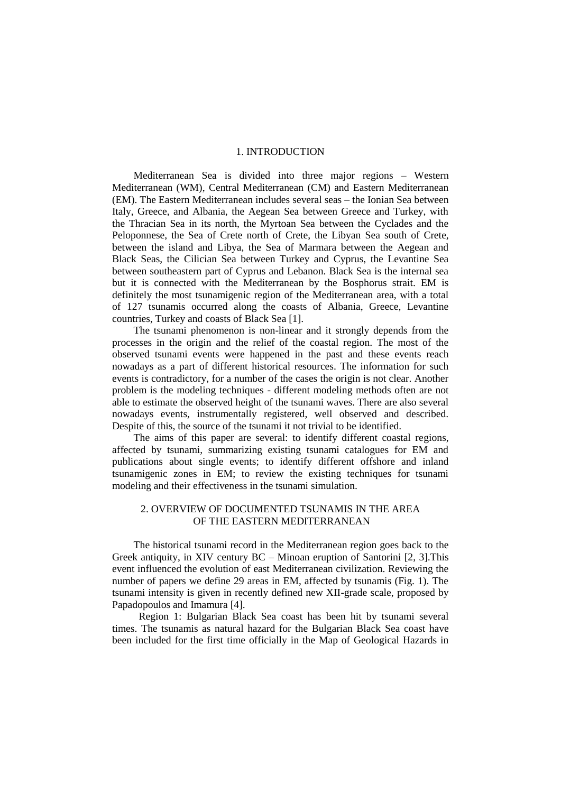## 1. INTRODUCTION

Mediterranean Sea is divided into three major regions – Western Mediterranean (WM), Central Mediterranean (CM) and Eastern Mediterranean (EM). The Eastern Mediterranean includes several seas – the Ionian Sea between Italy, Greece, and Albania, the Aegean Sea between Greece and Turkey, with the Thracian Sea in its north, the Myrtoan Sea between the Cyclades and the Peloponnese, the Sea of Crete north of Crete, the Libyan Sea south of Crete, between the island and Libya, the Sea of Marmara between the Aegean and Black Seas, the Cilician Sea between Turkey and Cyprus, the Levantine Sea between southeastern part of Cyprus and Lebanon. Black Sea is the internal sea but it is connected with the Mediterranean by the Bosphorus strait. EM is definitely the most tsunamigenic region of the Mediterranean area, with a total of 127 tsunamis occurred along the coasts of Albania, Greece, Levantine countries, Turkey and coasts of Black Sea [1].

The tsunami phenomenon is non-linear and it strongly depends from the processes in the origin and the relief of the coastal region. The most of the observed tsunami events were happened in the past and these events reach nowadays as a part of different historical resources. The information for such events is contradictory, for a number of the cases the origin is not clear. Another problem is the modeling techniques - different modeling methods often are not able to estimate the observed height of the tsunami waves. There are also several nowadays events, instrumentally registered, well observed and described. Despite of this, the source of the tsunami it not trivial to be identified.

The aims of this paper are several: to identify different coastal regions, affected by tsunami, summarizing existing tsunami catalogues for EM and publications about single events; to identify different offshore and inland tsunamigenic zones in EM; to review the existing techniques for tsunami modeling and their effectiveness in the tsunami simulation.

## 2. OVERVIEW OF DOCUMENTED TSUNAMIS IN THE AREA OF THE EASTERN MEDITERRANEAN

The historical tsunami record in the Mediterranean region goes back to the Greek antiquity, in XIV century  $BC - Minoan$  eruption of Santorini [2, 3]. This event influenced the evolution of east Mediterranean civilization. Reviewing the number of papers we define 29 areas in EM, affected by tsunamis (Fig. 1). The tsunami intensity is given in recently defined new XII-grade scale, proposed by Papadopoulos and Imamura [4].

Region 1: Bulgarian Black Sea coast has been hit by tsunami several times. The tsunamis as natural hazard for the Bulgarian Black Sea coast have been included for the first time officially in the Map of Geological Hazards in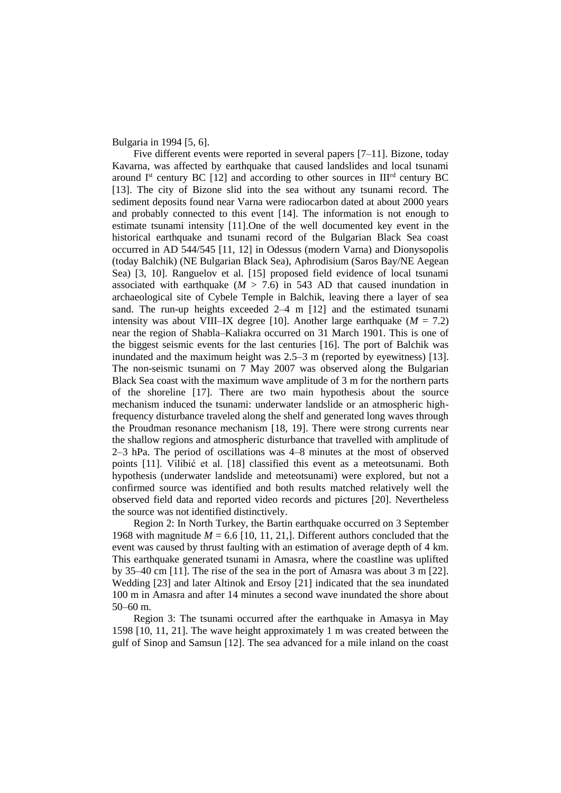Bulgaria in 1994 [5, 6].

Five different events were reported in several papers  $[7-11]$ . Bizone, today Kavarna, was affected by earthquake that caused landslides and local tsunami around  $I<sup>st</sup>$  century BC [12] and according to other sources in  $III<sup>rd</sup>$  century BC [13]. The city of Bizone slid into the sea without any tsunami record. The sediment deposits found near Varna were radiocarbon dated at about 2000 years and probably connected to this event [14]. The information is not enough to estimate tsunami intensity [11].One of the well documented key event in the historical earthquake and tsunami record of the Bulgarian Black Sea coast occurred in AD 544/545 [11, 12] in Odessus (modern Varna) and Dionysopolis (today Balchik) (NE Bulgarian Black Sea), Aphrodisium (Saros Bay/NE Aegean Sea) [3, 10]. Ranguelov et al. [15] proposed field evidence of local tsunami associated with earthquake  $(M > 7.6)$  in 543 AD that caused inundation in archaeological site of Cybele Temple in Balchik, leaving there a layer of sea sand. The run-up heights exceeded  $2-4$  m  $[12]$  and the estimated tsunami intensity was about VIII–IX degree [10]. Another large earthquake  $(M = 7.2)$ near the region of Shabla‒Kaliakra occurred on 31 March 1901. This is one of the biggest seismic events for the last centuries [16]. The port of Balchik was inundated and the maximum height was 2.5–3 m (reported by eyewitness) [13]. The non-seismic tsunami on 7 May 2007 was observed along the Bulgarian Black Sea coast with the maximum wave amplitude of 3 m for the northern parts of the shoreline [17]. There are two main hypothesis about the source mechanism induced the tsunami: underwater landslide or an atmospheric highfrequency disturbance traveled along the shelf and generated long waves through the Proudman resonance mechanism [18, 19]. There were strong currents near the shallow regions and atmospheric disturbance that travelled with amplitude of 2‒3 hPa. The period of oscillations was 4‒8 minutes at the most of observed points [11]. Vilibić et al. [18] classified this event as a meteotsunami. Both hypothesis (underwater landslide and meteotsunami) were explored, but not a confirmed source was identified and both results matched relatively well the observed field data and reported video records and pictures [20]. Nevertheless the source was not identified distinctively.

Region 2: In North Turkey, the Bartin earthquake occurred on 3 September 1968 with magnitude  $M = 6.6$  [10, 11, 21,]. Different authors concluded that the event was caused by thrust faulting with an estimation of average depth of 4 km. This earthquake generated tsunami in Amasra, where the coastline was uplifted by 35–40 cm [11]. The rise of the sea in the port of Amasra was about  $3 \text{ m}$  [22]. Wedding [23] and later Altinok and Ersoy [21] indicated that the sea inundated 100 m in Amasra and after 14 minutes a second wave inundated the shore about 50–60 m.

Region 3: The tsunami occurred after the earthquake in Amasya in May 1598 [10, 11, 21]. The wave height approximately 1 m was created between the gulf of Sinop and Samsun [12]. The sea advanced for a mile inland on the coast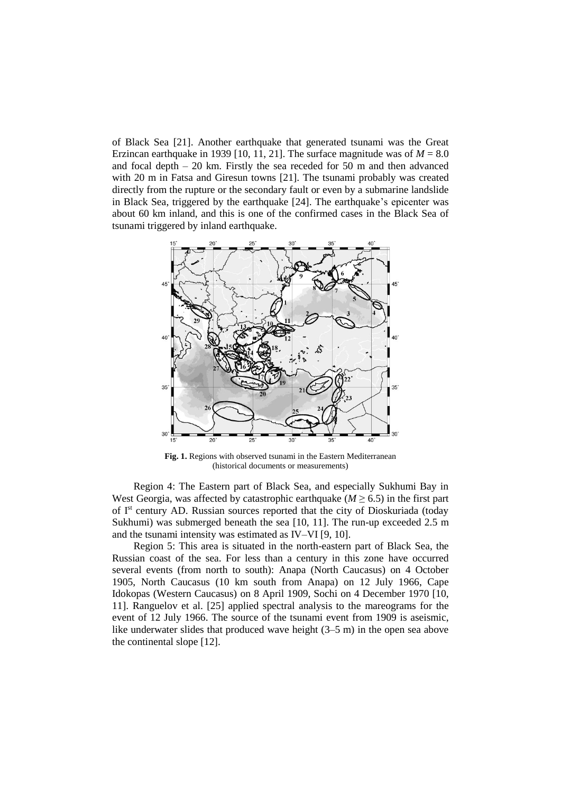of Black Sea [21]. Another earthquake that generated tsunami was the Great Erzincan earthquake in 1939 [10, 11, 21]. The surface magnitude was of  $M = 8.0$ and focal depth  $-20$  km. Firstly the sea receded for 50 m and then advanced with 20 m in Fatsa and Giresun towns [21]. The tsunami probably was created directly from the rupture or the secondary fault or even by a submarine landslide in Black Sea, triggered by the earthquake [24]. The earthquake's epicenter was about 60 km inland, and this is one of the confirmed cases in the Black Sea of tsunami triggered by inland earthquake.



**Fig. 1.** Regions with observed tsunami in the Eastern Mediterranean (historical documents or measurements)

Region 4: The Eastern part of Black Sea, and especially Sukhumi Bay in West Georgia, was affected by catastrophic earthquake ( $M \geq 6.5$ ) in the first part of I<sup>st</sup> century AD. Russian sources reported that the city of Dioskuriada (today Sukhumi) was submerged beneath the sea [10, 11]. The run-up exceeded 2.5 m and the tsunami intensity was estimated as IV–VI [9, 10].

Region 5: This area is situated in the north-eastern part of Black Sea, the Russian coast of the sea. For less than a century in this zone have occurred several events (from north to south): Anapa (North Caucasus) on 4 October 1905, North Caucasus (10 km south from Anapa) on 12 July 1966, Cape Idokopas (Western Caucasus) on 8 April 1909, Sochi on 4 December 1970 [10, 11]. Ranguelov et al. [25] applied spectral analysis to the mareograms for the event of 12 July 1966. The source of the tsunami event from 1909 is aseismic, like underwater slides that produced wave height (3–5 m) in the open sea above the continental slope [12].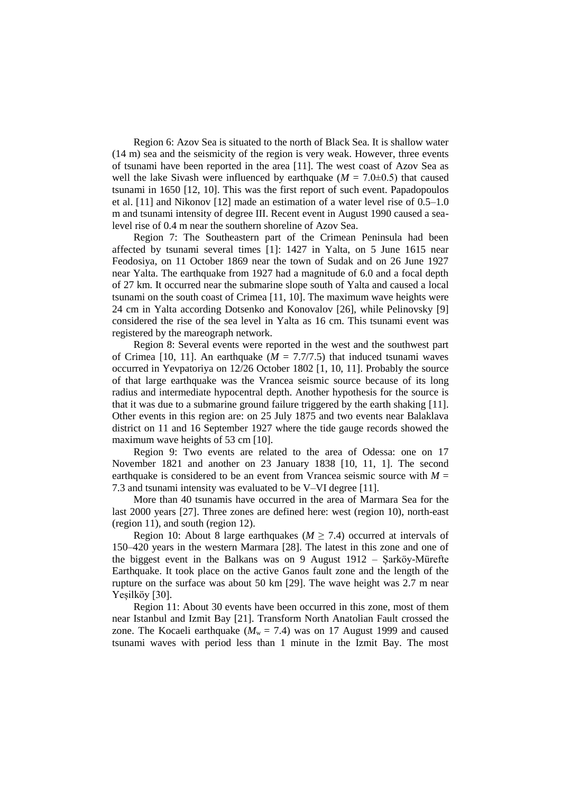Region 6: Azov Sea is situated to the north of Black Sea. It is shallow water (14 m) sea and the seismicity of the region is very weak. However, three events of tsunami have been reported in the area [11]. The west coast of Azov Sea as well the lake Sivash were influenced by earthquake  $(M = 7.0 \pm 0.5)$  that caused tsunami in 1650 [12, 10]. This was the first report of such event. Papadopoulos et al.  $[11]$  and Nikonov  $[12]$  made an estimation of a water level rise of  $0.5-1.0$ m and tsunami intensity of degree III. Recent event in August 1990 caused a sealevel rise of 0.4 m near the southern shoreline of Azov Sea.

Region 7: The Southeastern part of the Crimean Peninsula had been affected by tsunami several times [1]: 1427 in Yalta, on 5 June 1615 near Feodosiya, on 11 October 1869 near the town of Sudak and on 26 June 1927 near Yalta. The earthquake from 1927 had a magnitude of 6.0 and a focal depth of 27 km. It occurred near the submarine slope south of Yalta and caused a local tsunami on the south coast of Crimea [11, 10]. The maximum wave heights were 24 cm in Yalta according Dotsenko and Konovalov [26], while Pelinovsky [9] considered the rise of the sea level in Yalta as 16 cm. This tsunami event was registered by the mareograph network.

Region 8: Several events were reported in the west and the southwest part of Crimea [10, 11]. An earthquake  $(M = 7.7/7.5)$  that induced tsunami waves occurred in Yevpatoriya on 12/26 October 1802 [1, 10, 11]. Probably the source of that large earthquake was the Vrancea seismic source because of its long radius and intermediate hypocentral depth. Another hypothesis for the source is that it was due to a submarine ground failure triggered by the earth shaking [11]. Other events in this region are: on 25 July 1875 and two events near Balaklava district on 11 and 16 September 1927 where the tide gauge records showed the maximum wave heights of 53 cm [10].

Region 9: Two events are related to the area of Odessa: one on 17 November 1821 and another on 23 January 1838 [10, 11, 1]. The second earthquake is considered to be an event from Vrancea seismic source with  $M =$ 7.3 and tsunami intensity was evaluated to be V–VI degree [11].

More than 40 tsunamis have occurred in the area of Marmara Sea for the last 2000 years [27]. Three zones are defined here: west (region 10), north-east (region 11), and south (region 12).

Region 10: About 8 large earthquakes ( $M \ge 7.4$ ) occurred at intervals of 150‒420 years in the western Marmara [28]. The latest in this zone and one of the biggest event in the Balkans was on 9 August 1912 ‒ Șarköy-Mürefte Earthquake. It took place on the active Ganos fault zone and the length of the rupture on the surface was about 50 km [29]. The wave height was 2.7 m near Yeșilköy [30].

Region 11: About 30 events have been occurred in this zone, most of them near Istanbul and Izmit Bay [21]. Transform North Anatolian Fault crossed the zone. The Kocaeli earthquake  $(M_w = 7.4)$  was on 17 August 1999 and caused tsunami waves with period less than 1 minute in the Izmit Bay. The most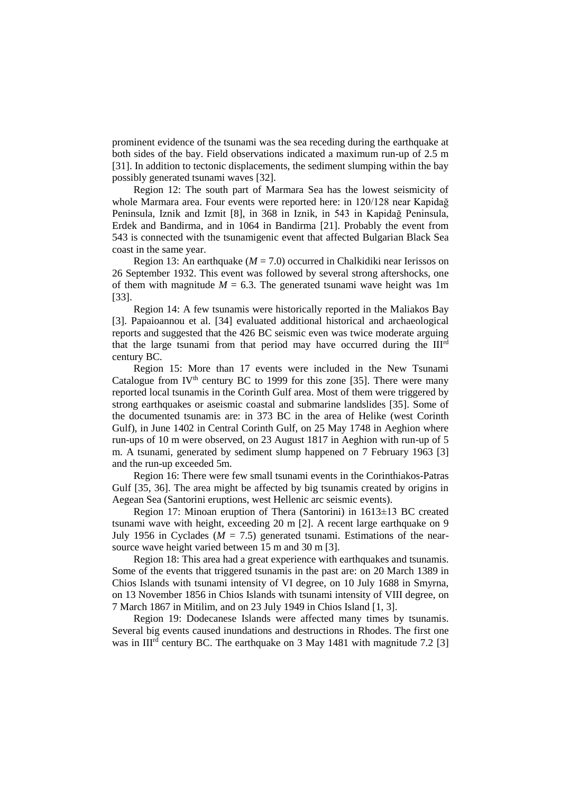prominent evidence of the tsunami was the sea receding during the earthquake at both sides of the bay. Field observations indicated a maximum run-up of 2.5 m [31]. In addition to tectonic displacements, the sediment slumping within the bay possibly generated tsunami waves [32].

Region 12: The south part of Marmara Sea has the lowest seismicity of whole Marmara area. Four events were reported here: in 120/128 near Kapidağ Peninsula, Iznik and Izmit [8], in 368 in Iznik, in 543 in Kapidağ Peninsula, Erdek and Bandirma, and in 1064 in Bandirma [21]. Probably the event from 543 is connected with the tsunamigenic event that affected Bulgarian Black Sea coast in the same year.

Region 13: An earthquake ( $M = 7.0$ ) occurred in Chalkidiki near [Ierissos](https://en.wikipedia.org/wiki/Ierissos) on 26 September 1932. This event was followed by several strong aftershocks, one of them with magnitude  $M = 6.3$ . The generated tsunami wave height was 1m [33].

Region 14: A few tsunamis were historically reported in the Maliakos Bay [3]. Papaioannou et al. [34] evaluated additional historical and archaeological reports and suggested that the 426 BC seismic even was twice moderate arguing that the large tsunami from that period may have occurred during the III<sup>rd</sup> century BC.

Region 15: More than 17 events were included in the New Tsunami Catalogue from IV<sup>th</sup> century BC to 1999 for this zone [35]. There were many reported local tsunamis in the Corinth Gulf area. Most of them were triggered by strong earthquakes or aseismic coastal and submarine landslides [35]. Some of the documented tsunamis are: in 373 BC in the area of Helike (west Corinth Gulf), in June 1402 in Central Corinth Gulf, on 25 May 1748 in Aeghion where run-ups of 10 m were observed, on 23 August 1817 in Aeghion with run-up of 5 m. A tsunami, generated by sediment slump happened on 7 February 1963 [3] and the run-up exceeded 5m.

Region 16: There were few small tsunami events in the Corinthiakos-Patras Gulf [35, 36]. The area might be affected by big tsunamis created by origins in Aegean Sea (Santorini eruptions, west Hellenic arc seismic events).

Region 17: Minoan eruption of Thera (Santorini) in 1613±13 BC created tsunami wave with height, exceeding 20 m [2]. A recent large earthquake on 9 July 1956 in Cyclades ( $M = 7.5$ ) generated tsunami. Estimations of the nearsource wave height varied between 15 m and 30 m [3].

Region 18: This area had a great experience with earthquakes and tsunamis. Some of the events that triggered tsunamis in the past are: on 20 March 1389 in Chios Islands with tsunami intensity of VI degree, on 10 July 1688 in Smyrna, on 13 November 1856 in Chios Islands with tsunami intensity of VIII degree, on 7 March 1867 in Mitilim, and on 23 July 1949 in Chios Island [1, 3].

Region 19: Dodecanese Islands were affected many times by tsunamis. Several big events caused inundations and destructions in Rhodes. The first one was in III<sup>rd</sup> century BC. The earthquake on 3 May 1481 with magnitude 7.2 [3]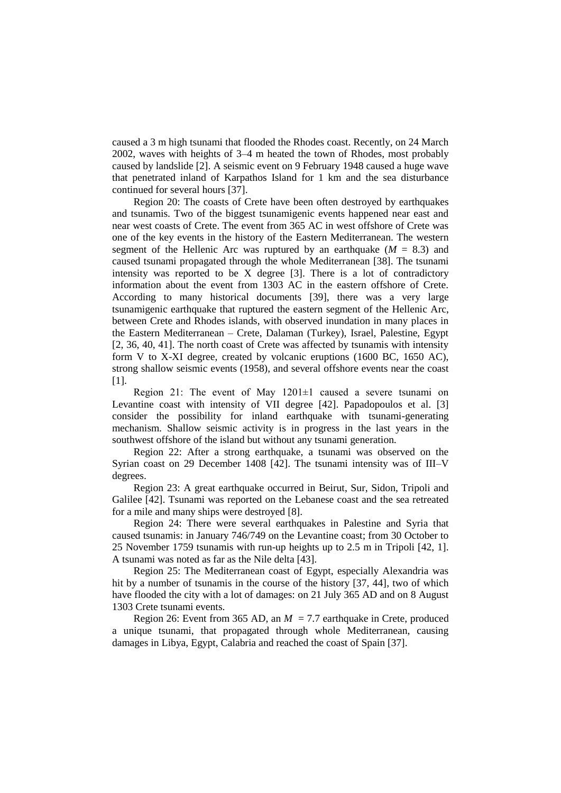caused a 3 m high tsunami that flooded the Rhodes coast. Recently, on 24 March 2002, waves with heights of 3‒4 m heated the town of Rhodes, most probably caused by landslide [2]. A seismic event on 9 February 1948 caused a huge wave that penetrated inland of Karpathos Island for 1 km and the sea disturbance continued for several hours [37].

Region 20: The coasts of Crete have been often destroyed by earthquakes and tsunamis. Two of the biggest tsunamigenic events happened near east and near west coasts of Crete. The event from 365 AC in west offshore of Crete was one of the key events in the history of the Eastern Mediterranean. The western segment of the Hellenic Arc was ruptured by an earthquake  $(M = 8.3)$  and caused tsunami propagated through the whole Mediterranean [38]. The tsunami intensity was reported to be X degree [3]. There is a lot of contradictory information about the event from 1303 AC in the eastern offshore of Crete. According to many historical documents [39], there was a very large tsunamigenic earthquake that ruptured the eastern segment of the Hellenic Arc, between Crete and Rhodes islands, with observed inundation in many places in the Eastern Mediterranean – Crete, Dalaman (Turkey), Israel, Palestine, Egypt [2, 36, 40, 41]. The north coast of Crete was affected by tsunamis with intensity form V to X-XI degree, created by volcanic eruptions (1600 BC, 1650 AC), strong shallow seismic events (1958), and several offshore events near the coast [1].

Region 21: The event of May 1201±1 caused a severe tsunami on Levantine coast with intensity of VII degree [42]. Papadopoulos et al. [3] consider the possibility for inland earthquake with tsunami-generating mechanism. Shallow seismic activity is in progress in the last years in the southwest offshore of the island but without any tsunami generation.

Region 22: After a strong earthquake, a tsunami was observed on the Syrian coast on 29 December 1408 [42]. The tsunami intensity was of III-V degrees.

Region 23: A great earthquake occurred in Beirut, Sur, Sidon, Tripoli and Galilee [42]. Tsunami was reported on the Lebanese coast and the sea retreated for a mile and many ships were destroyed [8].

Region 24: There were several earthquakes in Palestine and Syria that caused tsunamis: in January 746/749 on the Levantine coast; from 30 October to 25 November 1759 tsunamis with run-up heights up to 2.5 m in Tripoli [42, 1]. A tsunami was noted as far as the Nile delta [43].

Region 25: The Mediterranean coast of Egypt, especially Alexandria was hit by a number of tsunamis in the course of the history [37, 44], two of which have flooded the city with a lot of damages: on 21 July 365 AD and on 8 August 1303 Crete tsunami events.

Region 26: Event from 365 AD, an  $M = 7.7$  earthquake in Crete, produced a unique tsunami, that propagated through whole Mediterranean, causing damages in Libya, Egypt, Calabria and reached the coast of Spain [37].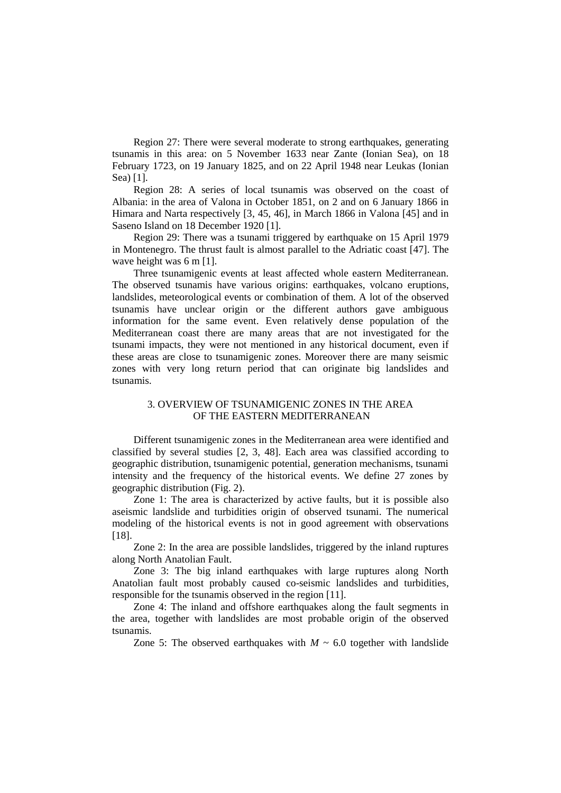Region 27: There were several moderate to strong earthquakes, generating tsunamis in this area: on 5 November 1633 near Zante (Ionian Sea), on 18 February 1723, on 19 January 1825, and on 22 April 1948 near Leukas (Ionian Sea) [1].

Region 28: A series of local tsunamis was observed on the coast of Albania: in the area of Valona in October 1851, on 2 and on 6 January 1866 in Himara and Narta respectively [3, 45, 46], in March 1866 in Valona [45] and in Saseno Island on 18 December 1920 [1].

Region 29: There was a tsunami triggered by earthquake on 15 April 1979 in Montenegro. The thrust fault is almost parallel to the Adriatic coast [47]. The wave height was 6 m [1].

Three tsunamigenic events at least affected whole eastern Mediterranean. The observed tsunamis have various origins: earthquakes, volcano eruptions, landslides, meteorological events or combination of them. A lot of the observed tsunamis have unclear origin or the different authors gave ambiguous information for the same event. Even relatively dense population of the Mediterranean coast there are many areas that are not investigated for the tsunami impacts, they were not mentioned in any historical document, even if these areas are close to tsunamigenic zones. Moreover there are many seismic zones with very long return period that can originate big landslides and tsunamis.

## 3. OVERVIEW OF TSUNAMIGENIC ZONES IN THE AREA OF THE EASTERN MEDITERRANEAN

Different tsunamigenic zones in the Mediterranean area were identified and classified by several studies [2, 3, 48]. Each area was classified according to geographic distribution, tsunamigenic potential, generation mechanisms, tsunami intensity and the frequency of the historical events. We define 27 zones by geographic distribution (Fig. 2).

Zone 1: The area is characterized by active faults, but it is possible also aseismic landslide and turbidities origin of observed tsunami. The numerical modeling of the historical events is not in good agreement with observations [18].

Zone 2: In the area are possible landslides, triggered by the inland ruptures along North Anatolian Fault.

Zone 3: The big inland earthquakes with large ruptures along North Anatolian fault most probably caused co-seismic landslides and turbidities, responsible for the tsunamis observed in the region [11].

Zone 4: The inland and offshore earthquakes along the fault segments in the area, together with landslides are most probable origin of the observed tsunamis.

Zone 5: The observed earthquakes with  $M \sim 6.0$  together with landslide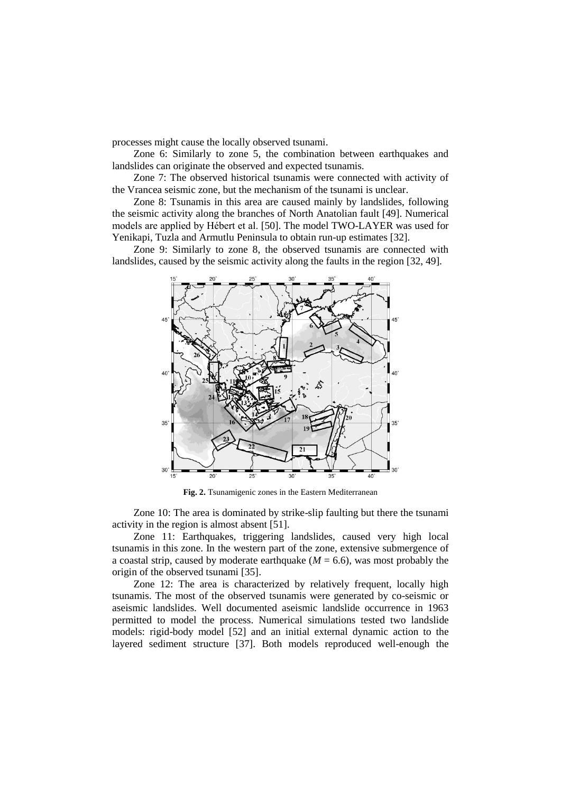processes might cause the locally observed tsunami.

Zone 6: Similarly to zone 5, the combination between earthquakes and landslides can originate the observed and expected tsunamis.

Zone 7: The observed historical tsunamis were connected with activity of the Vrancea seismic zone, but the mechanism of the tsunami is unclear.

Zone 8: Tsunamis in this area are caused mainly by landslides, following the seismic activity along the branches of North Anatolian fault [49]. Numerical models are applied by Hébert et al. [50]. The model TWO-LAYER was used for Yenikapi, Tuzla and Armutlu Peninsula to obtain run-up estimates [32].

Zone 9: Similarly to zone 8, the observed tsunamis are connected with landslides, caused by the seismic activity along the faults in the region [32, 49].



**Fig. 2.** Tsunamigenic zones in the Eastern Mediterranean

Zone 10: The area is dominated by strike-slip faulting but there the tsunami activity in the region is almost absent [51].

Zone 11: Earthquakes, triggering landslides, caused very high local tsunamis in this zone. In the western part of the zone, extensive submergence of a coastal strip, caused by moderate earthquake  $(M = 6.6)$ , was most probably the origin of the observed tsunami [35].

Zone 12: The area is characterized by relatively frequent, locally high tsunamis. The most of the observed tsunamis were generated by co-seismic or aseismic landslides. Well documented aseismic landslide occurrence in 1963 permitted to model the process. Numerical simulations tested two landslide models: rigid-body model [52] and an initial external dynamic action to the layered sediment structure [37]. Both models reproduced well-enough the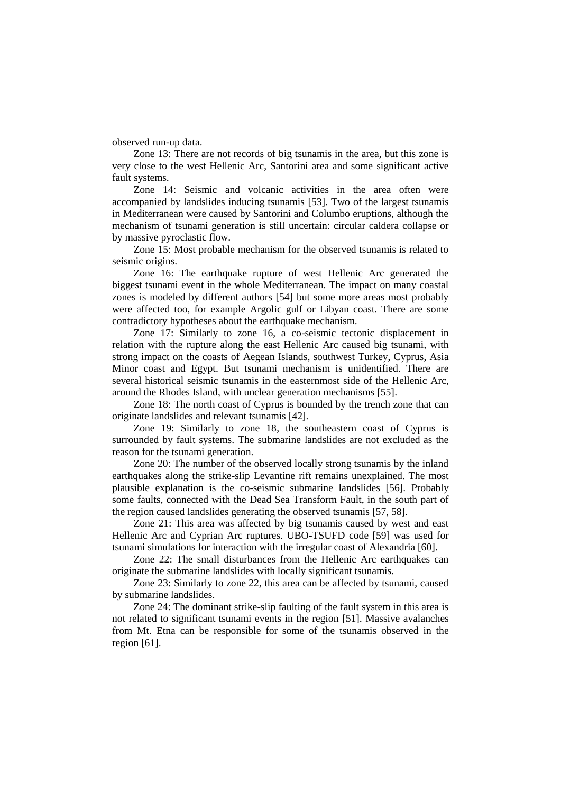observed run-up data.

Zone 13: There are not records of big tsunamis in the area, but this zone is very close to the west Hellenic Arc, Santorini area and some significant active fault systems.

Zone 14: Seismic and volcanic activities in the area often were accompanied by landslides inducing tsunamis [53]. Two of the largest tsunamis in Mediterranean were caused by Santorini and Columbo eruptions, although the mechanism of tsunami generation is still uncertain: circular caldera collapse or by massive pyroclastic flow.

Zone 15: Most probable mechanism for the observed tsunamis is related to seismic origins.

Zone 16: The earthquake rupture of west Hellenic Arc generated the biggest tsunami event in the whole Mediterranean. The impact on many coastal zones is modeled by different authors [54] but some more areas most probably were affected too, for example Argolic gulf or Libyan coast. There are some contradictory hypotheses about the earthquake mechanism.

Zone 17: Similarly to zone 16, a co-seismic tectonic displacement in relation with the rupture along the east Hellenic Arc caused big tsunami, with strong impact on the coasts of Aegean Islands, southwest Turkey, Cyprus, Asia Minor coast and Egypt. But tsunami mechanism is unidentified. There are several historical seismic tsunamis in the easternmost side of the Hellenic Arc, around the Rhodes Island, with unclear generation mechanisms [55].

Zone 18: The north coast of Cyprus is bounded by the trench zone that can originate landslides and relevant tsunamis [42].

Zone 19: Similarly to zone 18, the southeastern coast of Cyprus is surrounded by fault systems. The submarine landslides are not excluded as the reason for the tsunami generation.

Zone 20: The number of the observed locally strong tsunamis by the inland earthquakes along the strike-slip Levantine rift remains unexplained. The most plausible explanation is the co-seismic submarine landslides [56]. Probably some faults, connected with the Dead Sea Transform Fault, in the south part of the region caused landslides generating the observed tsunamis [57, 58].

Zone 21: This area was affected by big tsunamis caused by west and east Hellenic Arc and Cyprian Arc ruptures. UBO-TSUFD code [59] was used for tsunami simulations for interaction with the irregular coast of Alexandria [60].

Zone 22: The small disturbances from the Hellenic Arc earthquakes can originate the submarine landslides with locally significant tsunamis.

Zone 23: Similarly to zone 22, this area can be affected by tsunami, caused by submarine landslides.

Zone 24: The dominant strike-slip faulting of the fault system in this area is not related to significant tsunami events in the region [51]. Massive avalanches from Mt. Etna can be responsible for some of the tsunamis observed in the region [61].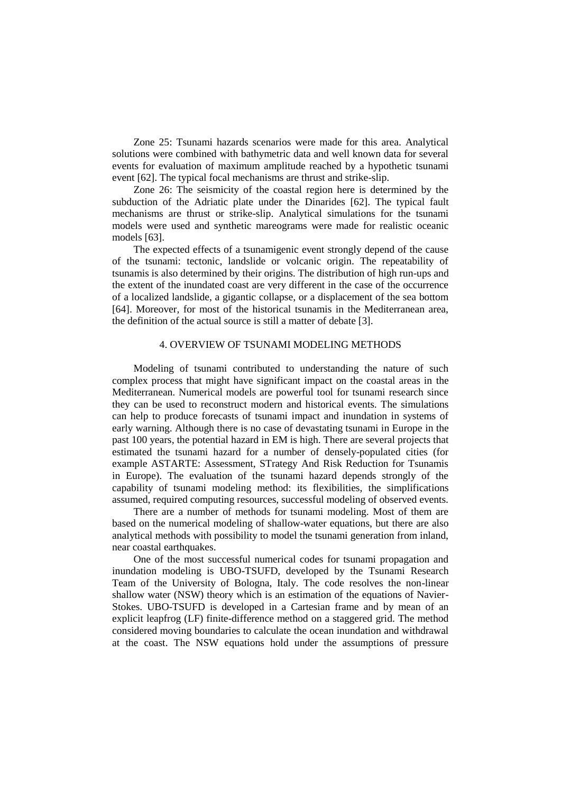Zone 25: Tsunami hazards scenarios were made for this area. Analytical solutions were combined with bathymetric data and well known data for several events for evaluation of maximum amplitude reached by a hypothetic tsunami event [62]. The typical focal mechanisms are thrust and strike-slip.

Zone 26: The seismicity of the coastal region here is determined by the subduction of the Adriatic plate under the Dinarides [62]. The typical fault mechanisms are thrust or strike-slip. Analytical simulations for the tsunami models were used and synthetic mareograms were made for realistic oceanic models [63].

The expected effects of a tsunamigenic event strongly depend of the cause of the tsunami: tectonic, landslide or volcanic origin. The repeatability of tsunamis is also determined by their origins. The distribution of high run-ups and the extent of the inundated coast are very different in the case of the occurrence of a localized landslide, a gigantic collapse, or a displacement of the sea bottom [64]. Moreover, for most of the historical tsunamis in the Mediterranean area, the definition of the actual source is still a matter of debate [3].

## 4. OVERVIEW OF TSUNAMI MODELING METHODS

Modeling of tsunami contributed to understanding the nature of such complex process that might have significant impact on the coastal areas in the Mediterranean. Numerical models are powerful tool for tsunami research since they can be used to reconstruct modern and historical events. The simulations can help to produce forecasts of tsunami impact and inundation in systems of early warning. Although there is no case of devastating tsunami in Europe in the past 100 years, the potential hazard in EM is high. There are several projects that estimated the tsunami hazard for a number of densely-populated cities (for example ASTARTE: Assessment, STrategy And Risk Reduction for Tsunamis in Europe). The evaluation of the tsunami hazard depends strongly of the capability of tsunami modeling method: its flexibilities, the simplifications assumed, required computing resources, successful modeling of observed events.

There are a number of methods for tsunami modeling. Most of them are based on the numerical modeling of shallow-water equations, but there are also analytical methods with possibility to model the tsunami generation from inland, near coastal earthquakes.

One of the most successful numerical codes for tsunami propagation and inundation modeling is UBO-TSUFD, developed by the Tsunami Research Team of the University of Bologna, Italy. The code resolves the non-linear shallow water (NSW) theory which is an estimation of the equations of Navier-Stokes. UBO-TSUFD is developed in a Cartesian frame and by mean of an explicit leapfrog (LF) finite-difference method on a staggered grid. The method considered moving boundaries to calculate the ocean inundation and withdrawal at the coast. The NSW equations hold under the assumptions of pressure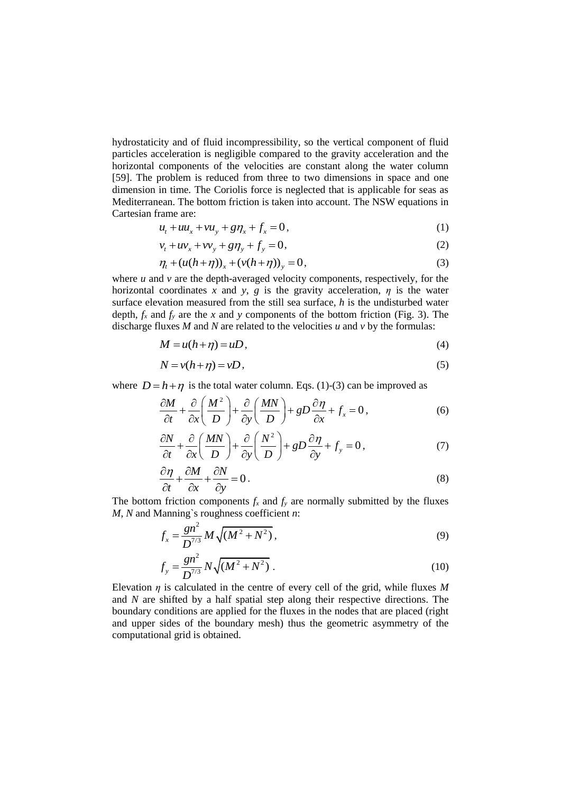hydrostaticity and of fluid incompressibility, so the vertical component of fluid particles acceleration is negligible compared to the gravity acceleration and the horizontal components of the velocities are constant along the water column [59]. The problem is reduced from three to two dimensions in space and one dimension in time. The Coriolis force is neglected that is applicable for seas as Mediterranean. The bottom friction is taken into account. The NSW equations in Cartesian frame are:

$$
u_t + uu_x + vu_y + g\eta_x + f_x = 0,
$$
\n(1)

$$
v_t + uv_x + v v_y + g \eta_y + f_y = 0,
$$
\n(2)

$$
v_t + uv_x + vv_y + g\eta_y + J_y = 0,
$$
  
\n
$$
\eta_t + (u(h + \eta))_x + (v(h + \eta))_y = 0,
$$
\n(3)

where  $u$  and  $v$  are the depth-averaged velocity components, respectively, for the horizontal coordinates *x* and *y*, *g* is the gravity acceleration,  $\eta$  is the water surface elevation measured from the still sea surface, *h* is the undisturbed water depth,  $f_x$  and  $f_y$  are the *x* and *y* components of the bottom friction (Fig. 3). The discharge fluxes *M* and *N* are related to the velocities *u* and *v* by the formulas:

$$
M = u(h + \eta) = uD,\tag{4}
$$

$$
N = v(h + \eta) = vD,\tag{5}
$$

where 
$$
D = h + \eta
$$
 is the total water column. Eqs. (1)-(3) can be improved as  
\n
$$
\frac{\partial M}{\partial t} + \frac{\partial}{\partial x} \left( \frac{M^2}{D} \right) + \frac{\partial}{\partial y} \left( \frac{M N}{D} \right) + g D \frac{\partial \eta}{\partial x} + f_x = 0,
$$
\n(6)

$$
\frac{\partial t}{\partial t} + \frac{\partial}{\partial x} \left( \frac{MN}{D} \right) + \frac{\partial}{\partial y} \left( \frac{N^2}{D} \right) + gD \frac{\partial \eta}{\partial y} + f_y = 0, \tag{7}
$$

$$
\frac{\partial \eta}{\partial t} + \frac{\partial M}{\partial x} + \frac{\partial N}{\partial y} = 0.
$$
\n(8)

The bottom friction components  $f_x$  and  $f_y$  are normally submitted by the fluxes *M*, *N* and Manning`s roughness coefficient *n*:

$$
f_x = \frac{gn^2}{D^{7/3}} M \sqrt{(M^2 + N^2)},
$$
\t(9)

$$
f_{y} = \frac{gn^{2}}{D^{7/3}} N \sqrt{(M^{2} + N^{2})} \tag{10}
$$

Elevation *η* is calculated in the centre of every cell of the grid, while fluxes *M* and *N* are shifted by a half spatial step along their respective directions. The boundary conditions are applied for the fluxes in the nodes that are placed (right and upper sides of the boundary mesh) thus the geometric asymmetry of the computational grid is obtained.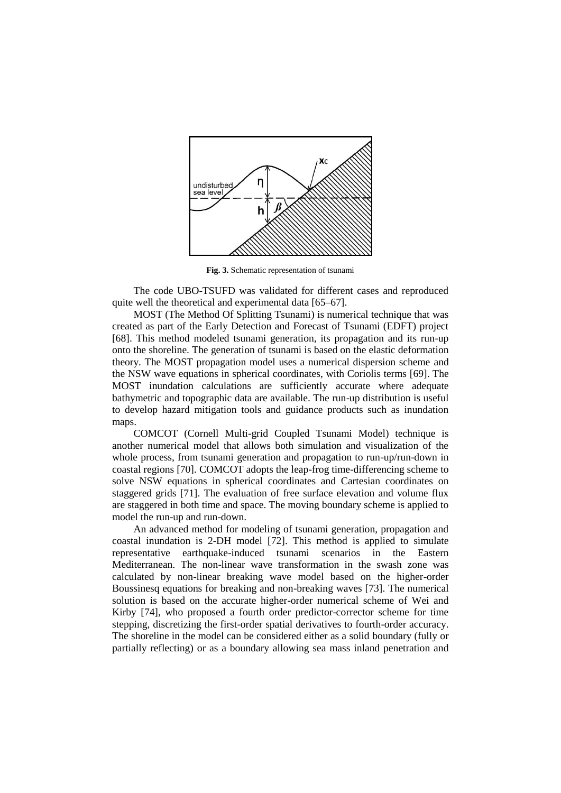

**Fig. 3.** Schematic representation of tsunami

The code UBO-TSUFD was validated for different cases and reproduced quite well the theoretical and experimental data [65–67].

MOST (The Method Of Splitting Tsunami) is numerical technique that was created as part of the Early Detection and Forecast of Tsunami (EDFT) project [68]. This method modeled tsunami generation, its propagation and its run-up onto the shoreline. The generation of tsunami is based on the elastic deformation theory. The MOST propagation model uses a numerical dispersion scheme and the NSW wave equations in spherical coordinates, with Coriolis terms [69]. The MOST inundation calculations are sufficiently accurate where adequate bathymetric and topographic data are available. The run-up distribution is useful to develop hazard mitigation tools and guidance products such as inundation maps.

COMCOT (Cornell Multi-grid Coupled Tsunami Model) technique is another numerical model that allows both simulation and visualization of the whole process, from tsunami generation and propagation to run-up/run-down in coastal regions [70]. COMCOT adopts the leap-frog time-differencing scheme to solve NSW equations in spherical coordinates and Cartesian coordinates on staggered grids [71]. The evaluation of free surface elevation and volume flux are staggered in both time and space. The moving boundary scheme is applied to model the run-up and run-down.

An advanced method for modeling of tsunami generation, propagation and coastal inundation is 2-DH model [72]. This method is applied to simulate representative earthquake-induced tsunami scenarios in the Eastern Mediterranean. The non-linear wave transformation in the swash zone was calculated by non-linear breaking wave model based on the higher-order Boussinesq equations for breaking and non-breaking waves [73]. The numerical solution is based on the accurate higher-order numerical scheme of Wei and Kirby [74], who proposed a fourth order predictor-corrector scheme for time stepping, discretizing the first-order spatial derivatives to fourth-order accuracy. The shoreline in the model can be considered either as a solid boundary (fully or partially reflecting) or as a boundary allowing sea mass inland penetration and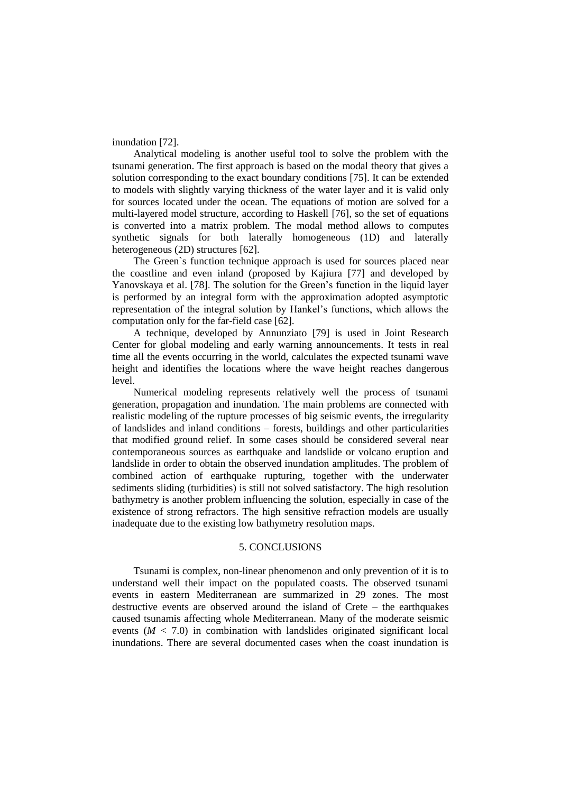inundation [72].

Analytical modeling is another useful tool to solve the problem with the tsunami generation. The first approach is based on the modal theory that gives a solution corresponding to the exact boundary conditions [75]. It can be extended to models with slightly varying thickness of the water layer and it is valid only for sources located under the ocean. The equations of motion are solved for a multi-layered model structure, according to Haskell [76], so the set of equations is converted into a matrix problem. The modal method allows to computes synthetic signals for both laterally homogeneous (1D) and laterally heterogeneous (2D) structures [62].

The Green`s function technique approach is used for sources placed near the coastline and even inland (proposed by Kajiura [77] and developed by Yanovskaya et al. [78]. The solution for the Green's function in the liquid layer is performed by an integral form with the approximation adopted asymptotic representation of the integral solution by Hankel's functions, which allows the computation only for the far-field case [62].

A technique, developed by Annunziato [79] is used in Joint Research Center for global modeling and early warning announcements. It tests in real time all the events occurring in the world, calculates the expected tsunami wave height and identifies the locations where the wave height reaches dangerous level.

Numerical modeling represents relatively well the process of tsunami generation, propagation and inundation. The main problems are connected with realistic modeling of the rupture processes of big seismic events, the irregularity of landslides and inland conditions ‒ forests, buildings and other particularities that modified ground relief. In some cases should be considered several near contemporaneous sources as earthquake and landslide or volcano eruption and landslide in order to obtain the observed inundation amplitudes. The problem of combined action of earthquake rupturing, together with the underwater sediments sliding (turbidities) is still not solved satisfactory. The high resolution bathymetry is another problem influencing the solution, especially in case of the existence of strong refractors. The high sensitive refraction models are usually inadequate due to the existing low bathymetry resolution maps.

### 5. CONCLUSIONS

Tsunami is complex, non-linear phenomenon and only prevention of it is to understand well their impact on the populated coasts. The observed tsunami events in eastern Mediterranean are summarized in 29 zones. The most destructive events are observed around the island of Crete  $-$  the earthquakes caused tsunamis affecting whole Mediterranean. Many of the moderate seismic events  $(M < 7.0)$  in combination with landslides originated significant local inundations. There are several documented cases when the coast inundation is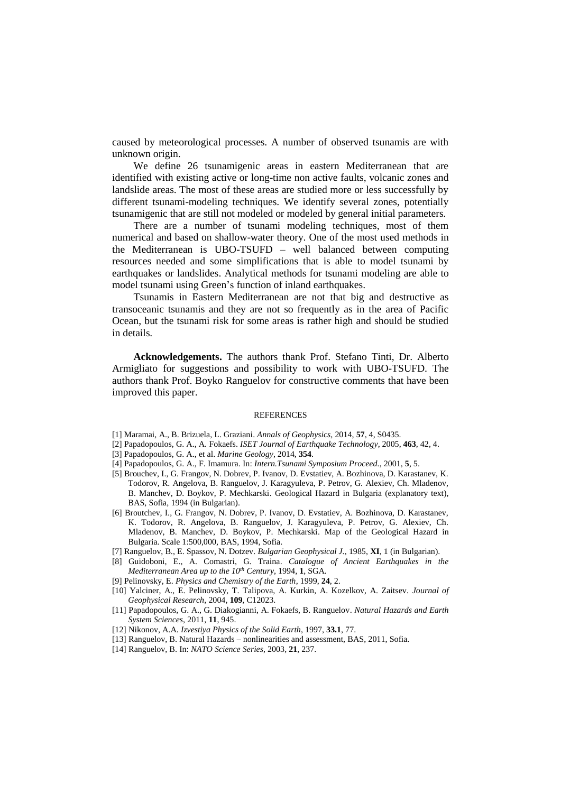caused by meteorological processes. A number of observed tsunamis are with unknown origin.

We define 26 tsunamigenic areas in eastern Mediterranean that are identified with existing active or long-time non active faults, volcanic zones and landslide areas. The most of these areas are studied more or less successfully by different tsunami-modeling techniques. We identify several zones, potentially tsunamigenic that are still not modeled or modeled by general initial parameters.

There are a number of tsunami modeling techniques, most of them numerical and based on shallow-water theory. One of the most used methods in the Mediterranean is UBO-TSUFD ‒ well balanced between computing resources needed and some simplifications that is able to model tsunami by earthquakes or landslides. Analytical methods for tsunami modeling are able to model tsunami using Green's function of inland earthquakes.

Tsunamis in Eastern Mediterranean are not that big and destructive as transoceanic tsunamis and they are not so frequently as in the area of Pacific Ocean, but the tsunami risk for some areas is rather high and should be studied in details.

**Acknowledgements.** The authors thank Prof. Stefano Tinti, Dr. Alberto Armigliato for suggestions and possibility to work with UBO-TSUFD. The authors thank Prof. Boyko Ranguelov for constructive comments that have been improved this paper.

### REFERENCES

- [1] Maramai, A., B. Brizuela, L. Graziani. *Annals of Geophysics*, 2014, **57**, 4, S0435.
- [2] Papadopoulos, G. A., A. Fokaefs. *ISET Journal of Earthquake Technology*, 2005, **463**, 42, 4.
- [3] Papadopoulos, G. A., et al. *Marine Geology*, 2014, **354**.
- [4] Papadopoulos, G. A., F. Imamura. In: *Intern.Tsunami Symposium Proceed.*, 2001, **5**, 5.
- [5] Brouchev, I., G. Frangov, N. Dobrev, P. Ivanov, D. Evstatiev, A. Bozhinova, D. Karastanev, K. Todorov, R. Angelova, B. Ranguelov, J. Karagyuleva, P. Petrov, G. Alexiev, Ch. Mladenov, B. Manchev, D. Boykov, P. Mechkarski. Geological Hazard in Bulgaria (explanatory text), BAS, Sofia, 1994 (in Bulgarian).
- [6] Broutchev, I., G. Frangov, N. Dobrev, P. Ivanov, D. Evstatiev, A. Bozhinova, D. Karastanev, K. Todorov, R. Angelova, B. Ranguelov, J. Karagyuleva, P. Petrov, G. Alexiev, Ch. Mladenov, B. Manchev, D. Boykov, P. Mechkarski. Map of the Geological Hazard in Bulgaria. Scale 1:500,000, BAS, 1994, Sofia.
- [7] Ranguelov, B., E. Spassov, N. Dotzev. *Bulgarian Geophysical J.*, 1985, **XI**, 1 (in Bulgarian).
- [8] Guidoboni, E., A. Comastri, G. Traina. *Catalogue of Ancient Earthquakes in the Mediterranean Area up to the 10th Century*, 1994, **1**, SGA.
- [9] Pelinovsky, E. *Physics and Chemistry of the Earth*, 1999, **24**, 2.
- [10] Yalciner, A., E. Pelinovsky, T. Talipova, A. Kurkin, A. Kozelkov, A. Zaitsev. *Journal of Geophysical Research*, 2004, **109**, C12023.
- [11] Papadopoulos, G. A., G. Diakogianni, A. Fokaefs, B. Ranguelov. *Natural Hazards and Earth System Sciences*, 2011, **11**, 945.
- [12] Nikonov, A.A. *Izvestiya Physics of the Solid Earth*, 1997, **33.1**, 77.
- [13] Ranguelov, B. Natural Hazards nonlinearities and assessment, BAS, 2011, Sofia.
- [14] Ranguelov, B. In: *NATO Science Series*, 2003, **21**, 237.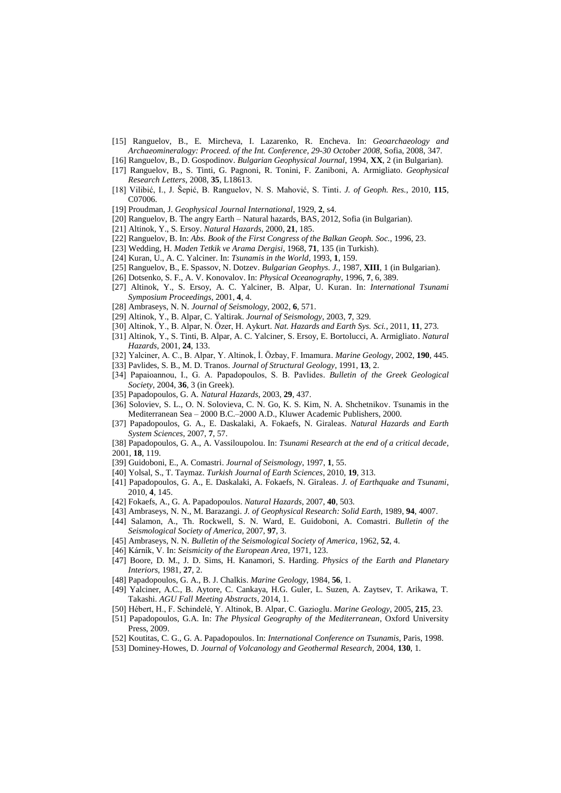- [15] Ranguelov, B., E. Mircheva, I. Lazarenko, R. Encheva. In: *Geoarchaeology and Archaeomineralogy: Proceed. of the Int. Conference, 29-30 October 2008,* Sofia, 2008, 347. [16] Ranguelov, B., D. Gospodinov. *Bulgarian Geophysical Journal*, 1994, **XX**, 2 (in Bulgarian).
- [17] Ranguelov, B., S. Tinti, G. Pagnoni, R. Tonini, F. Zaniboni, A. Armigliato. *Geophysical Research Letters*, 2008, **35**, L18613.
- [18] Vilibić, I., J. Šepić, B. Ranguelov, N. S. Mahović, S. Tinti. *J. of Geoph. Res.*, 2010, **115**, C07006.
- [19] Proudman, J. *Geophysical Journal International*, 1929, **2**, s4.
- [20] Ranguelov, B. The angry Earth Natural hazards, BAS, 2012, Sofia (in Bulgarian).
- [21] Altinok, Y., S. Ersoy. *Natural Hazards*, 2000, **21**, 185.
- [22] Ranguelov, B. In: *Abs. Book of the First Congress of the Balkan Geoph. Soc.*, 1996, 23.
- [23] Wedding, H. *Maden Tetkik ve Arama Dergisi*, 1968, **71**, 135 (in Turkish).
- [24] Kuran, U., A. C. Yalciner. In: *Tsunamis in the World*, 1993, **1**, 159.
- [25] Ranguelov, B., E. Spassov, N. Dotzev. *Bulgarian Geophys. J.*, 1987, **XIII**, 1 (in Bulgarian).
- [26] Dotsenko, S. F., A. V. Konovalov. In: *Physical Oceanography*, 1996, **7**, 6, 389.
- [27] Altinok, Y., S. Ersoy, A. C. Yalciner, B. Alpar, U. Kuran. In: *International Tsunami Symposium Proceedings*, 2001, **4**, 4.
- [28] Ambraseys, N. N. *Journal of Seismology*, 2002, **6**, 571.
- [29] Altinok, Y., B. Alpar, C. Yaltirak. *Journal of Seismology*, 2003, **7**, 329.
- [30] Altinok, Y., B. Alpar, N. Özer, H. Aykurt. *Nat. Hazards and Earth Sys. Sci.*, 2011, **11**, 273.
- [31] Altinok, Y., S. Tinti, B. Alpar, A. C. Yalciner, S. Ersoy, E. Bortolucci, A. Armigliato. *Natural Hazards*, 2001, **24**, 133.
- [32] Yalciner, A. C., B. Alpar, Y. Altinok, İ. Özbay, F. Imamura. *Marine Geology*, 2002, **190**, 445.
- [33] Pavlides, S. B., M. D. Tranos. *Journal of Structural Geology*, 1991, **13**, 2.
- [34] Papaioannou, I., G. A. Papadopoulos, S. B. Pavlides. *Bulletin of the Greek Geological Society*, 2004, **36**, 3 (in Greek).
- [35] Papadopoulos, G. A. *Natural Hazards*, 2003, **29**, 437.
- [36] Soloviev, S. L., O. N. Solovieva, C. N. Go, K. S. Kim, N. A. Shchetnikov. Tsunamis in the Mediterranean Sea – 2000 B.C.–2000 A.D., Kluwer Academic Publishers, 2000.
- [37] Papadopoulos, G. A., E. Daskalaki, A. Fokaefs, N. Giraleas. *Natural Hazards and Earth System Sciences*, 2007, **7**, 57.
- [38] Papadopoulos, G. A., A. Vassiloupolou. In: *Tsunami Research at the end of a critical decade*, 2001, **18**, 119.
- [39] Guidoboni, E., A. Comastri. *Journal of Seismology*, 1997, **1**, 55.
- [40] Yolsal, S., T. Taymaz. *Turkish Journal of Earth Sciences*, 2010, **19**, 313.
- [41] Papadopoulos, G. A., E. Daskalaki, A. Fokaefs, N. Giraleas. *J. of Earthquake and Tsunami*, 2010, **4**, 145.
- [42] Fokaefs, A., G. A. Papadopoulos. *Natural Hazards*, 2007, **40**, 503.
- [43] Ambraseys, N. N., M. Barazangi. *J. of Geophysical Research: Solid Earth*, 1989, **94**, 4007.
- [44] Salamon, A., Th. Rockwell, S. N. Ward, E. Guidoboni, A. Comastri. *Bulletin of the Seismological Society of America*, 2007, **97**, 3.
- [45] Ambraseys, N. N. *Bulletin of the Seismological Society of America*, 1962, **52**, 4.
- [46] Kárník, V. In: *Seismicity of the European Area*, 1971, 123.
- [47] Boore, D. M., J. D. Sims, H. Kanamori, S. Harding. *Physics of the Earth and Planetary Interiors*, 1981, **27**, 2.
- [48] Papadopoulos, G. A., B. J. Chalkis. *Marine Geology*, 1984, **56**, 1.
- [49] Yalciner, A.C., B. Aytore, C. Cankaya, H.G. Guler, L. Suzen, A. Zaytsev, T. Arikawa, T. Takashi. *AGU Fall Meeting Abstracts*, 2014, 1.
- [50] Hébert, H., F. Schindelé, Y. Altinok, B. Alpar, C. Gazioglu. *Marine Geology*, 2005, **215**, 23.
- [51] Papadopoulos, G.A. In: *The Physical Geography of the Mediterranean*, Oxford University Press, 2009.
- [52] Koutitas, C. G., G. A. Papadopoulos. In: *International Conference on Tsunamis,* Paris, 1998.
- [53] Dominey-Howes, D. *Journal of Volcanology and Geothermal Research*, 2004, **130**, 1.